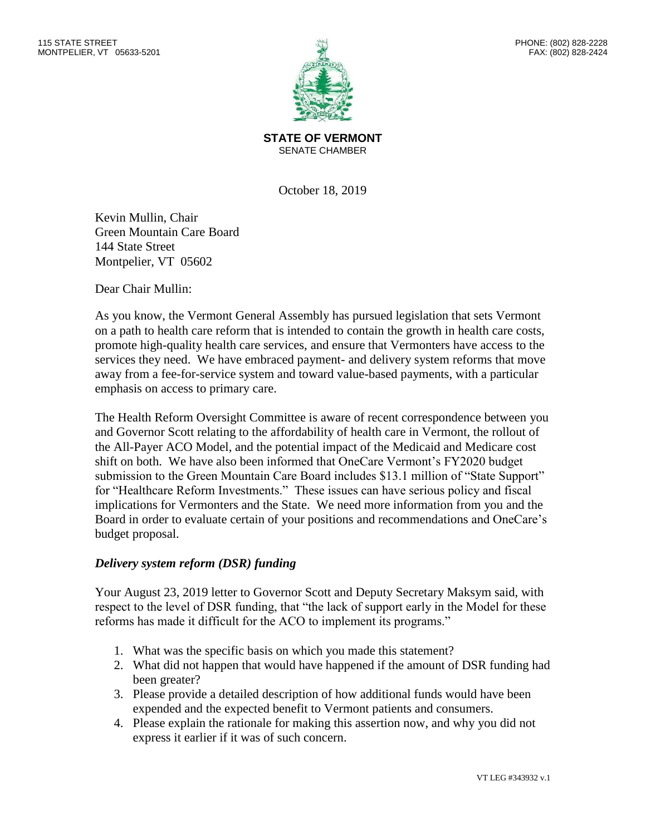

**STATE OF VERMONT** SENATE CHAMBER

October 18, 2019

Kevin Mullin, Chair Green Mountain Care Board 144 State Street Montpelier, VT 05602

Dear Chair Mullin:

As you know, the Vermont General Assembly has pursued legislation that sets Vermont on a path to health care reform that is intended to contain the growth in health care costs, promote high-quality health care services, and ensure that Vermonters have access to the services they need. We have embraced payment- and delivery system reforms that move away from a fee-for-service system and toward value-based payments, with a particular emphasis on access to primary care.

The Health Reform Oversight Committee is aware of recent correspondence between you and Governor Scott relating to the affordability of health care in Vermont, the rollout of the All-Payer ACO Model, and the potential impact of the Medicaid and Medicare cost shift on both. We have also been informed that OneCare Vermont's FY2020 budget submission to the Green Mountain Care Board includes \$13.1 million of "State Support" for "Healthcare Reform Investments." These issues can have serious policy and fiscal implications for Vermonters and the State. We need more information from you and the Board in order to evaluate certain of your positions and recommendations and OneCare's budget proposal.

## *Delivery system reform (DSR) funding*

Your August 23, 2019 letter to Governor Scott and Deputy Secretary Maksym said, with respect to the level of DSR funding, that "the lack of support early in the Model for these reforms has made it difficult for the ACO to implement its programs."

- 1. What was the specific basis on which you made this statement?
- 2. What did not happen that would have happened if the amount of DSR funding had been greater?
- 3. Please provide a detailed description of how additional funds would have been expended and the expected benefit to Vermont patients and consumers.
- 4. Please explain the rationale for making this assertion now, and why you did not express it earlier if it was of such concern.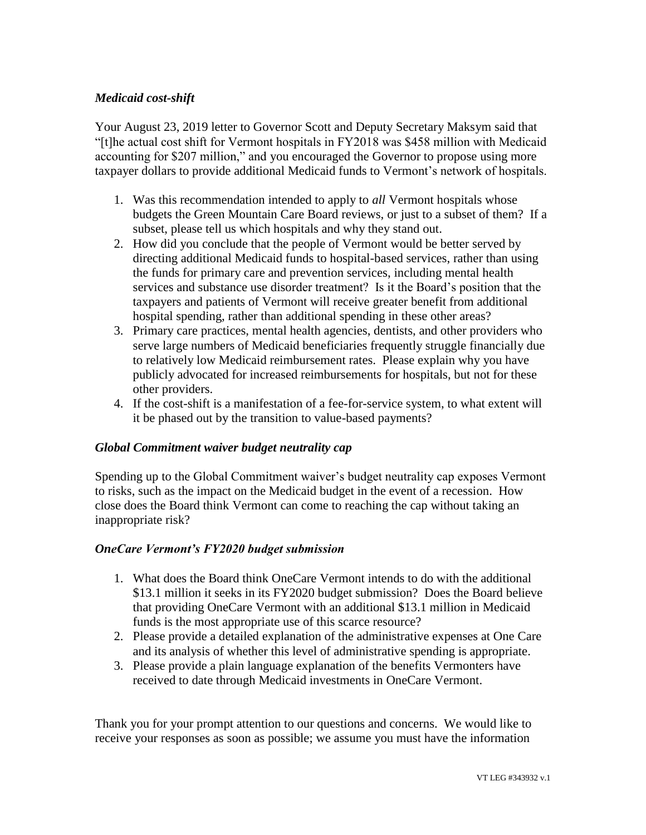## *Medicaid cost-shift*

Your August 23, 2019 letter to Governor Scott and Deputy Secretary Maksym said that "[t]he actual cost shift for Vermont hospitals in FY2018 was \$458 million with Medicaid accounting for \$207 million," and you encouraged the Governor to propose using more taxpayer dollars to provide additional Medicaid funds to Vermont's network of hospitals.

- 1. Was this recommendation intended to apply to *all* Vermont hospitals whose budgets the Green Mountain Care Board reviews, or just to a subset of them? If a subset, please tell us which hospitals and why they stand out.
- 2. How did you conclude that the people of Vermont would be better served by directing additional Medicaid funds to hospital-based services, rather than using the funds for primary care and prevention services, including mental health services and substance use disorder treatment? Is it the Board's position that the taxpayers and patients of Vermont will receive greater benefit from additional hospital spending, rather than additional spending in these other areas?
- 3. Primary care practices, mental health agencies, dentists, and other providers who serve large numbers of Medicaid beneficiaries frequently struggle financially due to relatively low Medicaid reimbursement rates. Please explain why you have publicly advocated for increased reimbursements for hospitals, but not for these other providers.
- 4. If the cost-shift is a manifestation of a fee-for-service system, to what extent will it be phased out by the transition to value-based payments?

## *Global Commitment waiver budget neutrality cap*

Spending up to the Global Commitment waiver's budget neutrality cap exposes Vermont to risks, such as the impact on the Medicaid budget in the event of a recession. How close does the Board think Vermont can come to reaching the cap without taking an inappropriate risk?

## *OneCare Vermont's FY2020 budget submission*

- 1. What does the Board think OneCare Vermont intends to do with the additional \$13.1 million it seeks in its FY2020 budget submission? Does the Board believe that providing OneCare Vermont with an additional \$13.1 million in Medicaid funds is the most appropriate use of this scarce resource?
- 2. Please provide a detailed explanation of the administrative expenses at One Care and its analysis of whether this level of administrative spending is appropriate.
- 3. Please provide a plain language explanation of the benefits Vermonters have received to date through Medicaid investments in OneCare Vermont.

Thank you for your prompt attention to our questions and concerns. We would like to receive your responses as soon as possible; we assume you must have the information